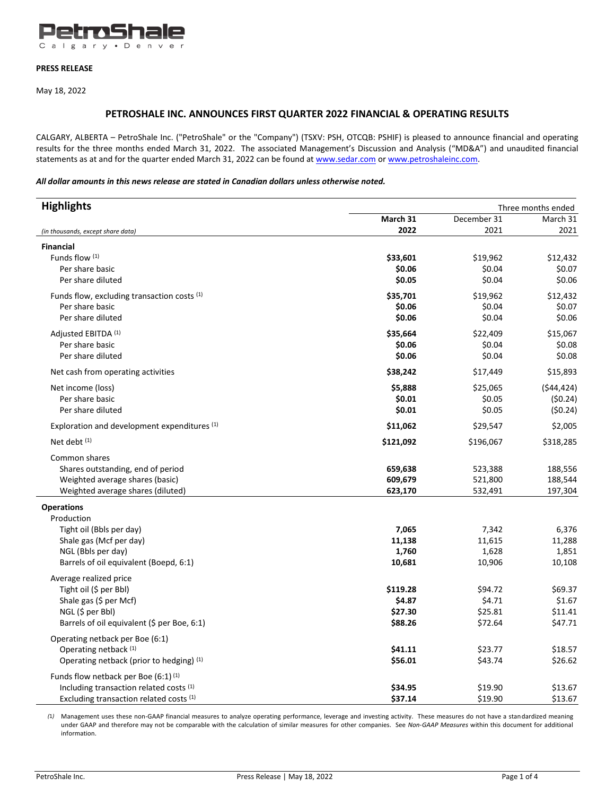

### **PRESS RELEASE**

May 18, 2022

# **PETROSHALE INC. ANNOUNCES FIRST QUARTER 2022 FINANCIAL & OPERATING RESULTS**

CALGARY, ALBERTA – PetroShale Inc. ("PetroShale" or the "Company") (TSXV: PSH, OTCQB: PSHIF) is pleased to announce financial and operating results for the three months ended March 31, 2022. The associated Management's Discussion and Analysis ("MD&A") and unaudited financial statements as at and for the quarter ended March 31, 2022 can be found a[t www.sedar.com](http://www.sedar.com/) or [www.petroshaleinc.com.](http://www.petroshaleinc.com/)

# *All dollar amounts in this news release are stated in Canadian dollars unless otherwise noted.*

| <b>Highlights</b>                               | Three months ended |             |            |
|-------------------------------------------------|--------------------|-------------|------------|
|                                                 | March 31           | December 31 | March 31   |
| (in thousands, except share data)               | 2022               | 2021        | 2021       |
| <b>Financial</b>                                |                    |             |            |
| Funds flow (1)                                  | \$33,601           | \$19,962    | \$12,432   |
| Per share basic                                 | \$0.06             | \$0.04      | \$0.07     |
| Per share diluted                               | \$0.05             | \$0.04      | \$0.06     |
| Funds flow, excluding transaction costs (1)     | \$35,701           | \$19,962    | \$12,432   |
| Per share basic                                 | \$0.06             | \$0.04      | \$0.07     |
| Per share diluted                               | \$0.06             | \$0.04      | \$0.06     |
| Adjusted EBITDA (1)                             | \$35,664           | \$22,409    | \$15,067   |
| Per share basic                                 | \$0.06             | \$0.04      | \$0.08     |
| Per share diluted                               | \$0.06             | \$0.04      | \$0.08     |
| Net cash from operating activities              | \$38,242           | \$17,449    | \$15,893   |
| Net income (loss)                               | \$5,888            | \$25,065    | (544, 424) |
| Per share basic                                 | \$0.01             | \$0.05      | (50.24)    |
| Per share diluted                               | \$0.01             | \$0.05      | (50.24)    |
| Exploration and development expenditures (1)    | \$11,062           | \$29,547    | \$2,005    |
| Net debt (1)                                    | \$121,092          | \$196,067   | \$318,285  |
| Common shares                                   |                    |             |            |
| Shares outstanding, end of period               | 659,638            | 523,388     | 188,556    |
| Weighted average shares (basic)                 | 609,679            | 521,800     | 188,544    |
| Weighted average shares (diluted)               | 623,170            | 532,491     | 197,304    |
| <b>Operations</b>                               |                    |             |            |
| Production                                      |                    |             |            |
| Tight oil (Bbls per day)                        | 7,065              | 7,342       | 6,376      |
| Shale gas (Mcf per day)                         | 11,138             | 11,615      | 11,288     |
| NGL (Bbls per day)                              | 1,760              | 1,628       | 1,851      |
| Barrels of oil equivalent (Boepd, 6:1)          | 10,681             | 10,906      | 10,108     |
| Average realized price                          |                    |             |            |
| Tight oil (\$ per Bbl)                          | \$119.28           | \$94.72     | \$69.37    |
| Shale gas (\$ per Mcf)                          | \$4.87             | \$4.71      | \$1.67     |
| NGL (\$ per Bbl)                                | \$27.30            | \$25.81     | \$11.41    |
| Barrels of oil equivalent (\$ per Boe, 6:1)     | \$88.26            | \$72.64     | \$47.71    |
| Operating netback per Boe (6:1)                 |                    |             |            |
| Operating netback (1)                           | \$41.11            | \$23.77     | \$18.57    |
| Operating netback (prior to hedging) (1)        | \$56.01            | \$43.74     | \$26.62    |
| Funds flow netback per Boe (6:1) <sup>(1)</sup> |                    |             |            |
| Including transaction related costs (1)         | \$34.95            | \$19.90     | \$13.67    |
| Excluding transaction related costs (1)         | \$37.14            | \$19.90     | \$13.67    |

*(*1*)* Management uses these non-GAAP financial measures to analyze operating performance, leverage and investing activity. These measures do not have a standardized meaning under GAAP and therefore may not be comparable with the calculation of similar measures for other companies. See *Non-GAAP Measures* within this document for additional information.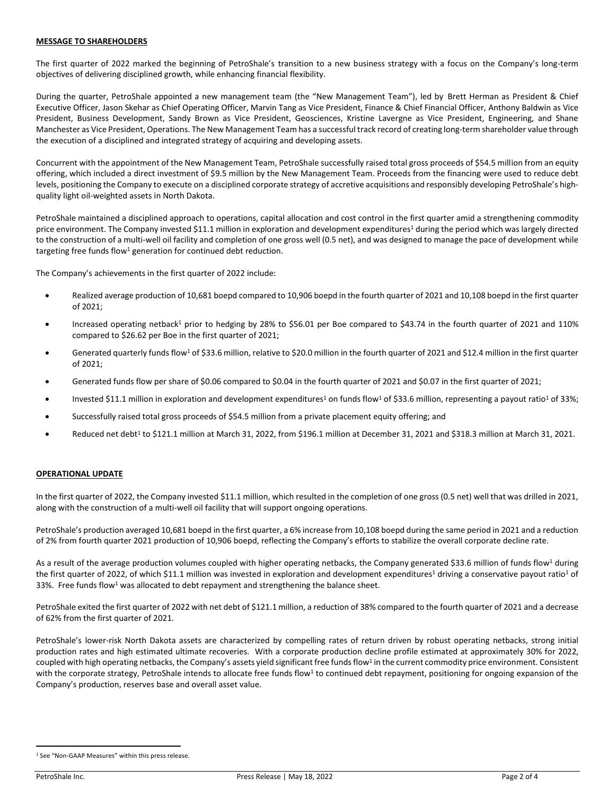## **MESSAGE TO SHAREHOLDERS**

The first quarter of 2022 marked the beginning of PetroShale's transition to a new business strategy with a focus on the Company's long-term objectives of delivering disciplined growth, while enhancing financial flexibility.

During the quarter, PetroShale appointed a new management team (the "New Management Team"), led by Brett Herman as President & Chief Executive Officer, Jason Skehar as Chief Operating Officer, Marvin Tang as Vice President, Finance & Chief Financial Officer, Anthony Baldwin as Vice President, Business Development, Sandy Brown as Vice President, Geosciences, Kristine Lavergne as Vice President, Engineering, and Shane Manchester as Vice President, Operations. The New Management Team has a successful track record of creating long-term shareholder value through the execution of a disciplined and integrated strategy of acquiring and developing assets.

Concurrent with the appointment of the New Management Team, PetroShale successfully raised total gross proceeds of \$54.5 million from an equity offering, which included a direct investment of \$9.5 million by the New Management Team. Proceeds from the financing were used to reduce debt levels, positioning the Company to execute on a disciplined corporate strategy of accretive acquisitions and responsibly developing PetroShale's highquality light oil-weighted assets in North Dakota.

PetroShale maintained a disciplined approach to operations, capital allocation and cost control in the first quarter amid a strengthening commodity price environment. The Company invested \$11.1 million in exploration and development expenditures<sup>1</sup> during the period which was largely directed to the construction of a multi-well oil facility and completion of one gross well (0.5 net), and was designed to manage the pace of development while targeting free funds flow<sup>1</sup> generation for continued debt reduction.

The Company's achievements in the first quarter of 2022 include:

- Realized average production of 10,681 boepd compared to 10,906 boepd in the fourth quarter of 2021 and 10,108 boepd in the first quarter of 2021;
- Increased operating netback<sup>1</sup> prior to hedging by 28% to \$56.01 per Boe compared to \$43.74 in the fourth quarter of 2021 and 110% compared to \$26.62 per Boe in the first quarter of 2021;
- Generated quarterly funds flow<sup>1</sup> of \$33.6 million, relative to \$20.0 million in the fourth quarter of 2021 and \$12.4 million in the first quarter of 2021;
- Generated funds flow per share of \$0.06 compared to \$0.04 in the fourth quarter of 2021 and \$0.07 in the first quarter of 2021;
- Invested \$11.1 million in exploration and development expenditures<sup>1</sup> on funds flow<sup>1</sup> of \$33.6 million, representing a payout ratio<sup>1</sup> of 33%;
- Successfully raised total gross proceeds of \$54.5 million from a private placement equity offering; and
- Reduced net debt<sup>1</sup> to \$121.1 million at March 31, 2022, from \$196.1 million at December 31, 2021 and \$318.3 million at March 31, 2021.

### **OPERATIONAL UPDATE**

In the first quarter of 2022, the Company invested \$11.1 million, which resulted in the completion of one gross (0.5 net) well that was drilled in 2021, along with the construction of a multi-well oil facility that will support ongoing operations.

PetroShale's production averaged 10,681 boepd in the first quarter, a 6% increase from 10,108 boepd during the same period in 2021 and a reduction of 2% from fourth quarter 2021 production of 10,906 boepd, reflecting the Company's efforts to stabilize the overall corporate decline rate.

As a result of the average production volumes coupled with higher operating netbacks, the Company generated \$33.6 million of funds flow<sup>1</sup> during the first quarter of 2022, of which \$11.1 million was invested in exploration and development expenditures<sup>1</sup> driving a conservative payout ratio<sup>1</sup> of 33%. Free funds flow<sup>1</sup> was allocated to debt repayment and strengthening the balance sheet.

PetroShale exited the first quarter of 2022 with net debt of \$121.1 million, a reduction of 38% compared to the fourth quarter of 2021 and a decrease of 62% from the first quarter of 2021.

PetroShale's lower-risk North Dakota assets are characterized by compelling rates of return driven by robust operating netbacks, strong initial production rates and high estimated ultimate recoveries. With a corporate production decline profile estimated at approximately 30% for 2022, coupled with high operating netbacks, the Company's assets yield significant free funds flow<sup>1</sup> in the current commodity price environment. Consistent with the corporate strategy, PetroShale intends to allocate free funds flow<sup>1</sup> to continued debt repayment, positioning for ongoing expansion of the Company's production, reserves base and overall asset value.

<sup>&</sup>lt;sup>1</sup> See "Non-GAAP Measures" within this press release.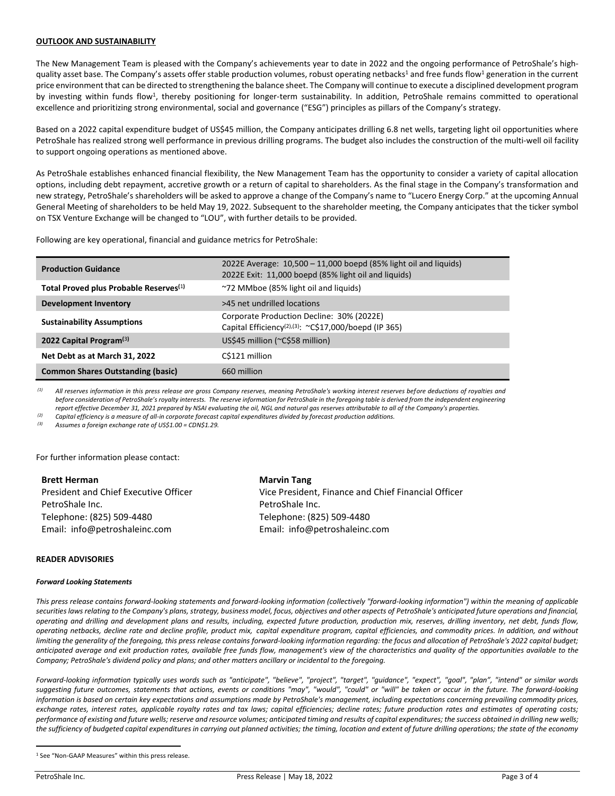### **OUTLOOK AND SUSTAINABILITY**

The New Management Team is pleased with the Company's achievements year to date in 2022 and the ongoing performance of PetroShale's highquality asset base. The Company's assets offer stable production volumes, robust operating netbacks<sup>1</sup> and free funds flow<sup>1</sup> generation in the current price environment that can be directed to strengthening the balance sheet. The Company will continue to execute a disciplined development program by investing within funds flow<sup>1</sup>, thereby positioning for longer-term sustainability. In addition, PetroShale remains committed to operational excellence and prioritizing strong environmental, social and governance ("ESG") principles as pillars of the Company's strategy.

Based on a 2022 capital expenditure budget of US\$45 million, the Company anticipates drilling 6.8 net wells, targeting light oil opportunities where PetroShale has realized strong well performance in previous drilling programs. The budget also includes the construction of the multi-well oil facility to support ongoing operations as mentioned above.

As PetroShale establishes enhanced financial flexibility, the New Management Team has the opportunity to consider a variety of capital allocation options, including debt repayment, accretive growth or a return of capital to shareholders. As the final stage in the Company's transformation and new strategy, PetroShale's shareholders will be asked to approve a change of the Company's name to "Lucero Energy Corp." at the upcoming Annual General Meeting of shareholders to be held May 19, 2022. Subsequent to the shareholder meeting, the Company anticipates that the ticker symbol on TSX Venture Exchange will be changed to "LOU", with further details to be provided.

Following are key operational, financial and guidance metrics for PetroShale:

| <b>Production Guidance</b>                         | 2022E Average: $10,500 - 11,000$ boepd (85% light oil and liquids)<br>2022E Exit: 11,000 boepd (85% light oil and liquids) |
|----------------------------------------------------|----------------------------------------------------------------------------------------------------------------------------|
| Total Proved plus Probable Reserves <sup>(1)</sup> | ~72 MMboe (85% light oil and liquids)                                                                                      |
| Development Inventory                              | >45 net undrilled locations                                                                                                |
| <b>Sustainability Assumptions</b>                  | Corporate Production Decline: 30% (2022E)<br>Capital Efficiency <sup>(2),(3)</sup> : ~C\$17,000/boepd (IP 365)             |
| 2022 Capital Program <sup>(3)</sup>                | US\$45 million (~C\$58 million)                                                                                            |
| Net Debt as at March 31, 2022                      | C\$121 million                                                                                                             |
| <b>Common Shares Outstanding (basic)</b>           | 660 million                                                                                                                |

*(1) All reserves information in this press release are gross Company reserves, meaning PetroShale's working interest reserves before deductions of royalties and*  before consideration of PetroShale's royalty interests. The reserve information for PetroShale in the foregoing table is derived from the independent engineering *report effective December 31, 2021 prepared by NSAI evaluating the oil, NGL and natural gas reserves attributable to all of the Company's properties.*

*(2) Capital efficiency is a measure of all-in corporate forecast capital expenditures divided by forecast production additions.*

*(3) Assumes a foreign exchange rate of US\$1.00 = CDN\$1.29.*

For further information please contact:

**Brett Herman** President and Chief Executive Officer PetroShale Inc. Telephone: (825) 509-4480 Email: info@petroshaleinc.com **Marvin Tang** Vice President, Finance and Chief Financial Officer PetroShale Inc. Telephone: (825) 509-4480 Email: info@petroshaleinc.com

### **READER ADVISORIES**

#### *Forward Looking Statements*

*This press release contains forward‐looking statements and forward‐looking information (collectively "forward‐looking information") within the meaning of applicable securities laws relating to the Company's plans, strategy, business model, focus, objectives and other aspects of PetroShale's anticipated future operations and financial, operating and drilling and development plans and results, including, expected future production, production mix, reserves, drilling inventory, net debt, funds flow, operating netbacks, decline rate and decline profile, product mix, capital expenditure program, capital efficiencies, and commodity prices. In addition, and without*  limiting the generality of the foregoing, this press release contains forward-looking information regarding: the focus and allocation of PetroShale's 2022 capital budget; *anticipated average and exit production rates, available free funds flow, management's view of the characteristics and quality of the opportunities available to the Company; PetroShale's dividend policy and plans; and other matters ancillary or incidental to the foregoing.* 

*Forward‐looking information typically uses words such as "anticipate", "believe", "project", "target", "guidance", "expect", "goal", "plan", "intend" or similar words suggesting future outcomes, statements that actions, events or conditions "may", "would", "could" or "will" be taken or occur in the future. The forward‐looking*  information is based on certain key expectations and assumptions made by PetroShale's management, including expectations concerning prevailing commodity prices, exchange rates, interest rates, applicable royalty rates and tax laws; capital efficiencies; decline rates; future production rates and estimates of operating costs; *performance of existing and future wells; reserve and resource volumes; anticipated timing and results of capital expenditures; the success obtained in drilling new wells; the sufficiency of budgeted capital expenditures in carrying out planned activities; the timing, location and extent of future drilling operations; the state of the economy* 

<sup>1</sup> See "Non-GAAP Measures" within this press release.